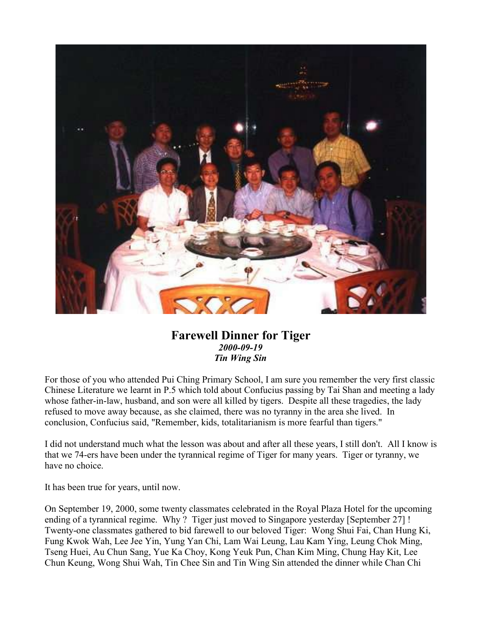

## **Farewell Dinner for Tiger** *2000-09-19 Tin Wing Sin*

For those of you who attended Pui Ching Primary School, I am sure you remember the very first classic Chinese Literature we learnt in P.5 which told about Confucius passing by Tai Shan and meeting a lady whose father-in-law, husband, and son were all killed by tigers. Despite all these tragedies, the lady refused to move away because, as she claimed, there was no tyranny in the area she lived. In conclusion, Confucius said, "Remember, kids, totalitarianism is more fearful than tigers."

I did not understand much what the lesson was about and after all these years, I still don't. All I know is that we 74-ers have been under the tyrannical regime of Tiger for many years. Tiger or tyranny, we have no choice.

It has been true for years, until now.

On September 19, 2000, some twenty classmates celebrated in the Royal Plaza Hotel for the upcoming ending of a tyrannical regime. Why ? Tiger just moved to Singapore yesterday [September 27] ! Twenty-one classmates gathered to bid farewell to our beloved Tiger: Wong Shui Fai, Chan Hung Ki, Fung Kwok Wah, Lee Jee Yin, Yung Yan Chi, Lam Wai Leung, Lau Kam Ying, Leung Chok Ming, Tseng Huei, Au Chun Sang, Yue Ka Choy, Kong Yeuk Pun, Chan Kim Ming, Chung Hay Kit, Lee Chun Keung, Wong Shui Wah, Tin Chee Sin and Tin Wing Sin attended the dinner while Chan Chi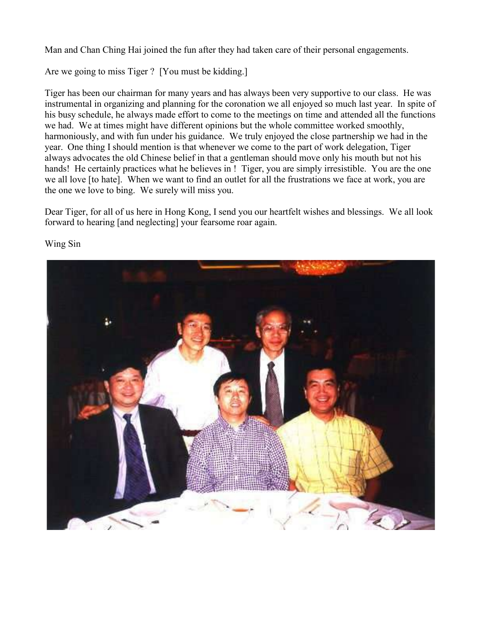Man and Chan Ching Hai joined the fun after they had taken care of their personal engagements.

Are we going to miss Tiger ? [You must be kidding.]

Tiger has been our chairman for many years and has always been very supportive to our class. He was instrumental in organizing and planning for the coronation we all enjoyed so much last year. In spite of his busy schedule, he always made effort to come to the meetings on time and attended all the functions we had. We at times might have different opinions but the whole committee worked smoothly, harmoniously, and with fun under his guidance. We truly enjoyed the close partnership we had in the year. One thing I should mention is that whenever we come to the part of work delegation, Tiger always advocates the old Chinese belief in that a gentleman should move only his mouth but not his hands! He certainly practices what he believes in ! Tiger, you are simply irresistible. You are the one we all love [to hate]. When we want to find an outlet for all the frustrations we face at work, you are the one we love to bing. We surely will miss you.

Dear Tiger, for all of us here in Hong Kong, I send you our heartfelt wishes and blessings. We all look forward to hearing [and neglecting] your fearsome roar again.



Wing Sin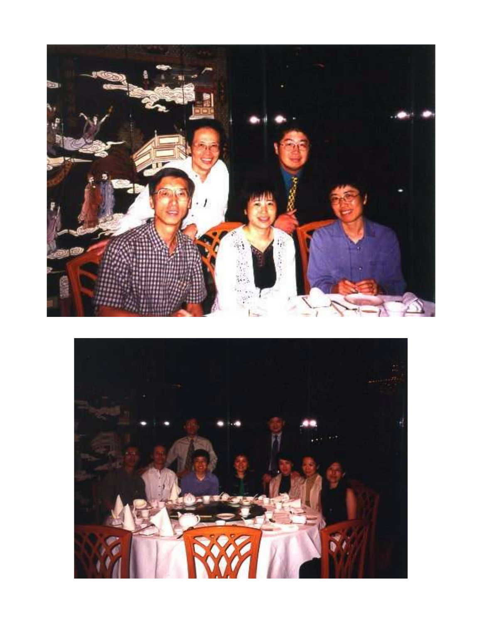